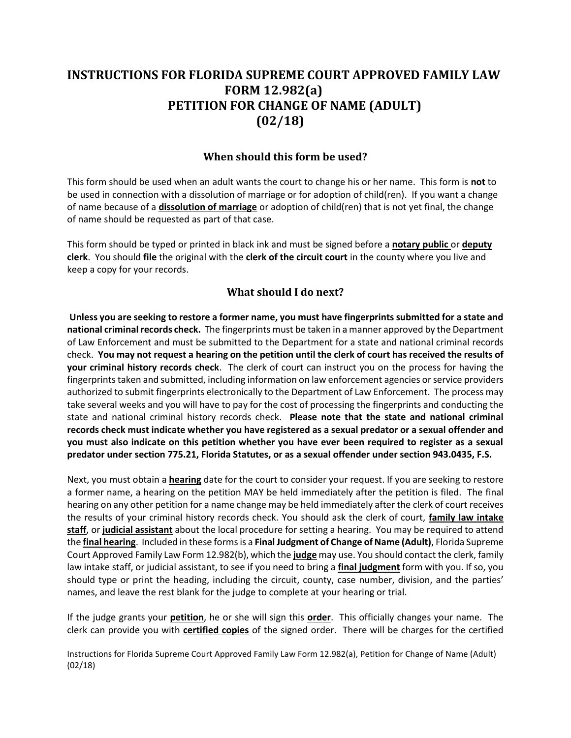# **INSTRUCTIONS FOR FLORIDA SUPREME COURT APPROVED FAMILY LAW FORM 12.982(a) PETITION FOR CHANGE OF NAME (ADULT) (02/18)**

## **When should this form be used?**

 This form should be used when an adult wants the court to change his or her name. This form is **not** to be used in connection with a dissolution of marriage or for adoption of child(ren). If you want a change of name because of a **dissolution of marriage** or adoption of child(ren) that is not yet final, the change of name should be requested as part of that case.

 This form should be typed or printed in black ink and must be signed before a **notary public** or **deputy clerk**. You should **file** the original with the **clerk of the circuit court** in the county where you live and keep a copy for your records.

### **What should I do next?**

 **Unless you are seeking to restore a former name, you must have fingerprints submitted for a state and national criminal records check.** The fingerprints must be taken in a manner approved by the Department of Law Enforcement and must be submitted to the Department for a state and national criminal records  check. **You may not request a hearing on the petition until the clerk of court has received the results of your criminal history records check**. The clerk of court can instruct you on the process for having the fingerprints taken and submitted, including information on law enforcement agencies or service providers authorized to submit fingerprints electronically to the Department of Law Enforcement. The process may take several weeks and you will have to pay for the cost of processing the fingerprints and conducting the state and national criminal history records check. **Please note that the state and national criminal records check must indicate whether you have registered as a sexual predator or a sexual offender and you must also indicate on this petition whether you have ever been required to register as a sexual predator under section 775.21, Florida Statutes, or as a sexual offender under section 943.0435, F.S.** 

 Next, you must obtain a **hearing** date for the court to consider your request. If you are seeking to restore a former name, a hearing on the petition MAY be held immediately after the petition is filed. The final hearing on any other petition for a name change may be held immediately after the clerk of court receives the results of your criminal history records check. You should ask the clerk of court, **family law intake staff**, or **judicial assistant** about the local procedure for setting a hearing. You may be required to attend the **final hearing**. Included in these forms is a **Final Judgment of Change of Name (Adult)**, Florida Supreme Court Approved Family Law Form 12.982(b), which the **judge** may use. You should contact the clerk, family law intake staff, or judicial assistant, to see if you need to bring a **final judgment** form with you. If so, you should type or print the heading, including the circuit, county, case number, division, and the parties' names, and leave the rest blank for the judge to complete at your hearing or trial.

 If the judge grants your **petition**, he or she will sign this **order**. This officially changes your name. The clerk can provide you with **certified copies** of the signed order. There will be charges for the certified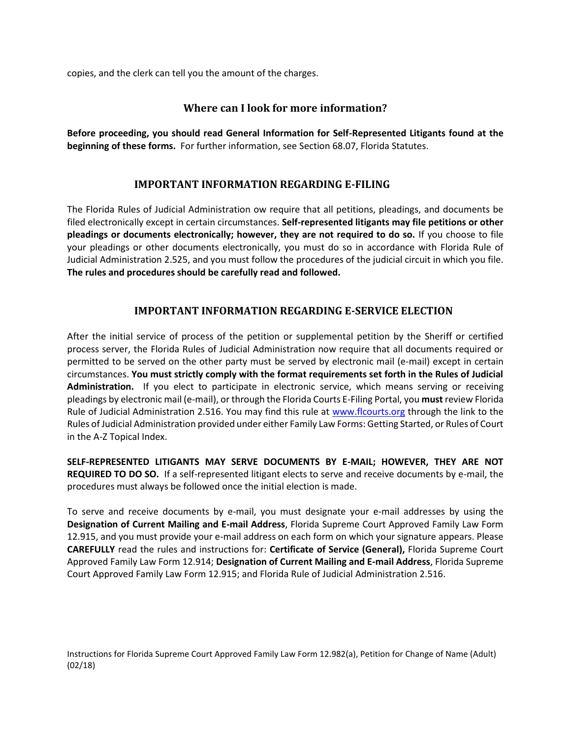copies, and the clerk can tell you the amount of the charges.

#### **Where can I look for more information?**

 **Before proceeding, you should read General Information for Self-Represented Litigants found at the beginning of these forms.** For further information, see Section 68.07, Florida Statutes.

# **IMPORTANT INFORMATION REGARDING E-FILING**

 **pleadings or documents electronically; however, they are not required to do so.** If you choose to file your pleadings or other documents electronically, you must do so in accordance with Florida Rule of Judicial Administration 2.525, and you must follow the procedures of the judicial circuit in which you file. The Florida Rules of Judicial Administration ow require that all petitions, pleadings, and documents be filed electronically except in certain circumstances. **Self-represented litigants may file petitions or other The rules and procedures should be carefully read and followed.** 

# **IMPORTANT INFORMATION REGARDING E-SERVICE ELECTION**

 After the initial service of process of the petition or supplemental petition by the Sheriff or certified process server, the Florida Rules of Judicial Administration now require that all documents required or permitted to be served on the other party must be served by electronic mail (e-mail) except in certain  circumstances. **You must strictly comply with the format requirements set forth in the Rules of Judicial Administration.** If you elect to participate in electronic service, which means serving or receiving pleadings by electronic mail (e-mail), or through the Florida Courts E-Filing Portal, you **must** review Florida Rule of Judicial Administration 2.516. You may find this rule at **www.flcourts.org** through the link to the Rules of Judicial Administration provided under either Family Law Forms: Getting Started, or Rules of Court in the A-Z Topical Index.

 **SELF-REPRESENTED LITIGANTS MAY SERVE DOCUMENTS BY E-MAIL; HOWEVER, THEY ARE NOT REQUIRED TO DO SO.** If a self-represented litigant elects to serve and receive documents by e-mail, the procedures must always be followed once the initial election is made.

 To serve and receive documents by e-mail, you must designate your e-mail addresses by using the  **Designation of Current Mailing and E-mail Address**, Florida Supreme Court Approved Family Law Form 12.915, and you must provide your e-mail address on each form on which your signature appears. Please **CAREFULLY** read the rules and instructions for: **Certificate of Service (General),** Florida Supreme Court Approved Family Law Form 12.914; **Designation of Current Mailing and E-mail Address**, Florida Supreme Court Approved Family Law Form 12.915; and Florida Rule of Judicial Administration 2.516.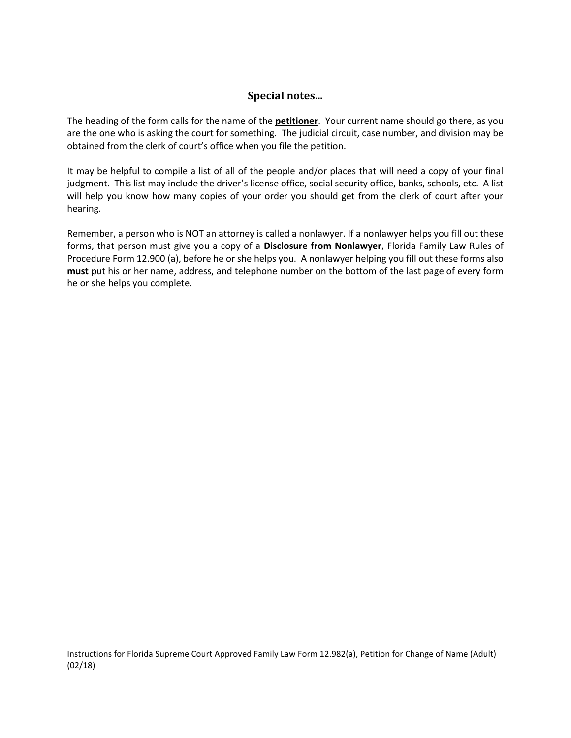# **Special notes...**

 The heading of the form calls for the name of the **petitioner**. Your current name should go there, as you are the one who is asking the court for something. The judicial circuit, case number, and division may be obtained from the clerk of court's office when you file the petition.

 It may be helpful to compile a list of all of the people and/or places that will need a copy of your final judgment. This list may include the driver's license office, social security office, banks, schools, etc. A list will help you know how many copies of your order you should get from the clerk of court after your hearing.

 Remember, a person who is NOT an attorney is called a nonlawyer. If a nonlawyer helps you fill out these forms, that person must give you a copy of a **Disclosure from Nonlawyer**, Florida Family Law Rules of Procedure Form 12.900 (a), before he or she helps you. A nonlawyer helping you fill out these forms also **must** put his or her name, address, and telephone number on the bottom of the last page of every form he or she helps you complete.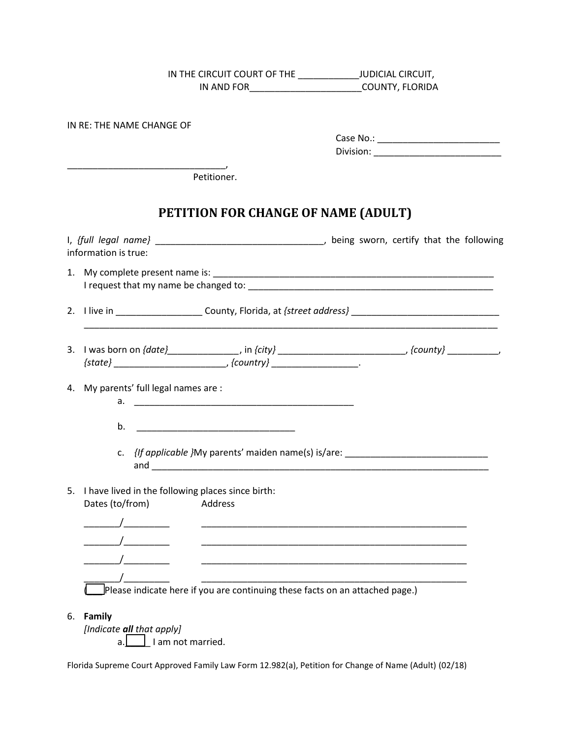| IN THE CIRCUIT COURT OF THE | <b>JUDICIAL CIRCUIT,</b> |
|-----------------------------|--------------------------|
| IN AND FOR                  | <b>COUNTY, FLORIDA</b>   |

IN RE: THE NAME CHANGE OF

\_\_\_\_\_\_\_\_\_\_\_\_\_\_\_\_\_\_\_\_\_\_\_\_\_\_\_\_\_\_\_,

| Case No.: |  |
|-----------|--|
| Division: |  |

Petitioner.

# **PETITION FOR CHANGE OF NAME (ADULT)**

|    | information is true:                                                                                                                                                                                                                                                                                                                                                                                       |
|----|------------------------------------------------------------------------------------------------------------------------------------------------------------------------------------------------------------------------------------------------------------------------------------------------------------------------------------------------------------------------------------------------------------|
|    | I request that my name be changed to: example and a series of the series of the series of the series of the series of the series of the series of the series of the series of the series of the series of the series of the se                                                                                                                                                                             |
|    | 2. I live in _______________________County, Florida, at {street address} _________________________________                                                                                                                                                                                                                                                                                                 |
|    | ${state}$ $_{\_}$ {country} $_{\_}$                                                                                                                                                                                                                                                                                                                                                                        |
|    | 4. My parents' full legal names are :<br>b.<br><u> 1989 - Johann Harry Harry Harry Harry Harry Harry Harry Harry Harry Harry Harry Harry Harry Harry Harry Harry Harry Harry Harry Harry Harry Harry Harry Harry Harry Harry Harry Harry Harry Harry Harry Harry Harry Harry Ha</u><br>c. { <i>If applicable }</i> My parents' maiden name(s) is/are:                                                      |
|    | 5. I have lived in the following places since birth:<br>Dates (to/from)<br><b>Address</b><br>$\frac{1}{2}$<br>$\frac{\sqrt{2}}{2}$<br><u> 1989 - Johann Stoff, amerikansk politiker (d. 1989)</u><br><u> 1989 - Johann Stoff, deutscher Stoff, der Stoff, der Stoff, der Stoff, der Stoff, der Stoff, der Stoff, der S</u><br>Please indicate here if you are continuing these facts on an attached page.) |
| 6. | Family<br>[Indicate all that apply]                                                                                                                                                                                                                                                                                                                                                                        |

a. $\boxed{\underline{\qquad}}$  I am not married.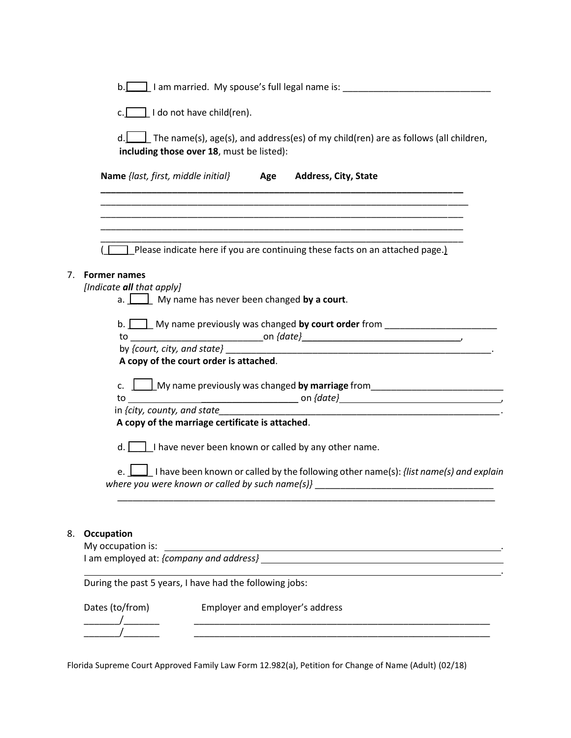|    | b.                                                                                                                                                                                                                                                                                                                                                                                       |
|----|------------------------------------------------------------------------------------------------------------------------------------------------------------------------------------------------------------------------------------------------------------------------------------------------------------------------------------------------------------------------------------------|
|    | c. $\Box$ I do not have child(ren).                                                                                                                                                                                                                                                                                                                                                      |
|    | d. The name(s), age(s), and address(es) of my child(ren) are as follows (all children,<br>including those over 18, must be listed):                                                                                                                                                                                                                                                      |
|    | Name {last, first, middle initial} Age Address, City, State                                                                                                                                                                                                                                                                                                                              |
|    |                                                                                                                                                                                                                                                                                                                                                                                          |
|    | $\Box$ Please indicate here if you are continuing these facts on an attached page.)                                                                                                                                                                                                                                                                                                      |
| 7. | <b>Former names</b><br>[Indicate all that apply]<br>a. $\Box$ My name has never been changed by a court.                                                                                                                                                                                                                                                                                 |
|    | b. My name previously was changed by court order from __________________________                                                                                                                                                                                                                                                                                                         |
|    | A copy of the court order is attached.                                                                                                                                                                                                                                                                                                                                                   |
|    | c. My name previously was changed by marriage from _____________________________                                                                                                                                                                                                                                                                                                         |
|    | A copy of the marriage certificate is attached.                                                                                                                                                                                                                                                                                                                                          |
|    | I have never been known or called by any other name.<br>d. I                                                                                                                                                                                                                                                                                                                             |
|    | e. $\Box$ I have been known or called by the following other name(s): <i>{list name(s) and explain</i><br>where you were known or called by such name(s)} $\frac{1}{2}$ [10] $\frac{1}{2}$ [10] $\frac{1}{2}$ [10] $\frac{1}{2}$ [10] $\frac{1}{2}$ [10] $\frac{1}{2}$ [10] $\frac{1}{2}$ [10] $\frac{1}{2}$ [10] $\frac{1}{2}$ [10] $\frac{1}{2}$ [10] $\frac{1}{2}$ [10] $\frac{1}{2}$ |
| 8. | Occupation<br>My occupation is:<br>and the control of the control of the control of the control of the control of the control of the control of the                                                                                                                                                                                                                                      |
|    |                                                                                                                                                                                                                                                                                                                                                                                          |
|    | During the past 5 years, I have had the following jobs:                                                                                                                                                                                                                                                                                                                                  |
|    | Dates (to/from)<br>Employer and employer's address                                                                                                                                                                                                                                                                                                                                       |

Florida Supreme Court Approved Family Law Form 12.982(a), Petition for Change of Name (Adult) (02/18)

\_\_\_\_\_\_\_/\_\_\_\_\_\_\_ \_\_\_\_\_\_\_\_\_\_\_\_\_\_\_\_\_\_\_\_\_\_\_\_\_\_\_\_\_\_\_\_\_\_\_\_\_\_\_\_\_\_\_\_\_\_\_\_\_\_\_\_\_\_\_\_\_\_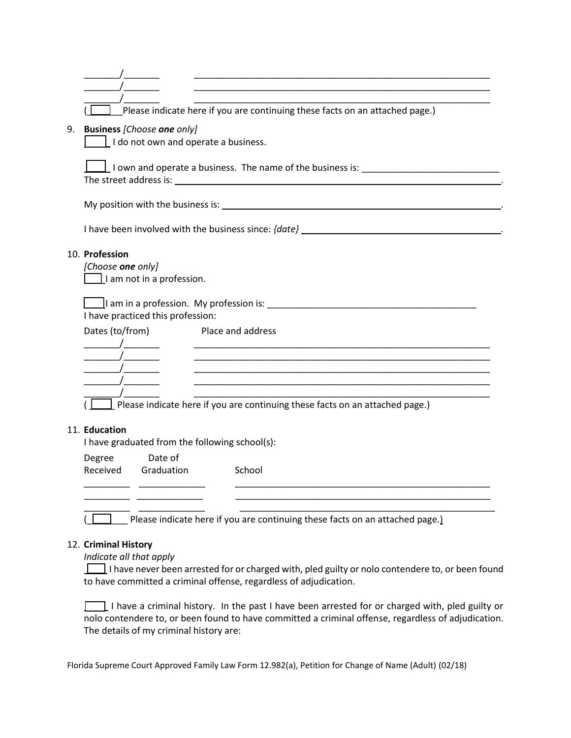|    | Please indicate here if you are continuing these facts on an attached page.)      |  |  |  |
|----|-----------------------------------------------------------------------------------|--|--|--|
|    |                                                                                   |  |  |  |
| 9. | <b>Business [Choose one only]</b><br>$\perp$ I do not own and operate a business. |  |  |  |
|    |                                                                                   |  |  |  |
|    | $\perp$ I own and operate a business. The name of the business is: $\_\_$         |  |  |  |
|    |                                                                                   |  |  |  |
|    |                                                                                   |  |  |  |
|    |                                                                                   |  |  |  |
|    | 10. Profession                                                                    |  |  |  |
|    | [Choose one only]                                                                 |  |  |  |
|    | $\Box$ I am not in a profession.                                                  |  |  |  |
|    |                                                                                   |  |  |  |
|    | I have practiced this profession:                                                 |  |  |  |
|    | Dates (to/from)<br>Place and address                                              |  |  |  |
|    |                                                                                   |  |  |  |
|    |                                                                                   |  |  |  |
|    |                                                                                   |  |  |  |
|    | Please indicate here if you are continuing these facts on an attached page.)      |  |  |  |
|    |                                                                                   |  |  |  |
|    | 11. Education<br>I have graduated from the following school(s):                   |  |  |  |
|    | Date of<br>Degree                                                                 |  |  |  |
|    | Received<br>Graduation<br>School                                                  |  |  |  |
|    |                                                                                   |  |  |  |
|    |                                                                                   |  |  |  |

( $\Box$ )  $\Box$  Please indicate here if you are continuing these facts on an attached page.)

#### 12. **Criminal History**

*Indicate all that apply* 

 $\Box$  I have never been arrested for or charged with, pled guilty or nolo contendere to, or been found to have committed a criminal offense, regardless of adjudication.

I have a criminal history. In the past I have been arrested for or charged with, pled guilty or nolo contendere to, or been found to have committed a criminal offense, regardless of adjudication. The details of my criminal history are: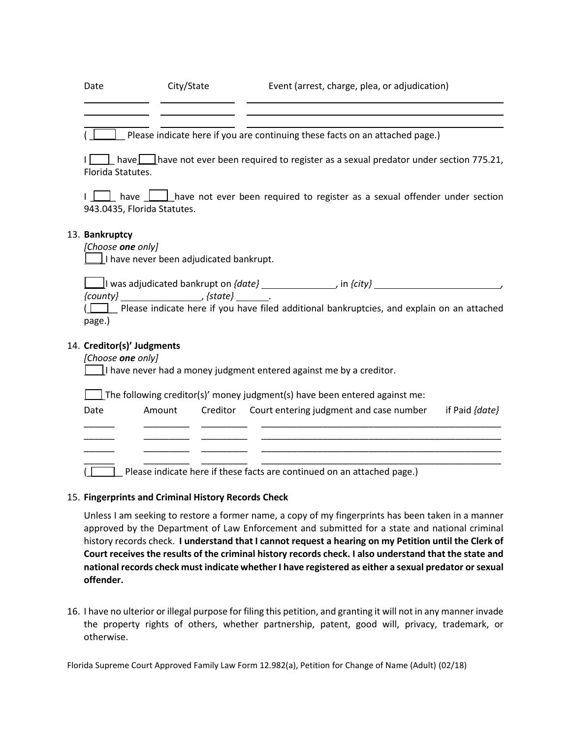| Date                                                                                                                                                                                                                                                                                                                                                     | City/State |          |                                                                         | Event (arrest, charge, plea, or adjudication)                                                                                                                                                                            |                    |
|----------------------------------------------------------------------------------------------------------------------------------------------------------------------------------------------------------------------------------------------------------------------------------------------------------------------------------------------------------|------------|----------|-------------------------------------------------------------------------|--------------------------------------------------------------------------------------------------------------------------------------------------------------------------------------------------------------------------|--------------------|
|                                                                                                                                                                                                                                                                                                                                                          |            |          |                                                                         | Please indicate here if you are continuing these facts on an attached page.)                                                                                                                                             |                    |
| Florida Statutes.                                                                                                                                                                                                                                                                                                                                        |            |          |                                                                         | $\Box$ have $\Box$ have not ever been required to register as a sexual predator under section 775.21,                                                                                                                    |                    |
| 943.0435, Florida Statutes.                                                                                                                                                                                                                                                                                                                              |            |          |                                                                         | I incomposing have not ever been required to register as a sexual offender under section                                                                                                                                 |                    |
| 13. Bankruptcy<br>[Choose one only]<br>$\Box$ have never been adjudicated bankrupt.                                                                                                                                                                                                                                                                      |            |          |                                                                         |                                                                                                                                                                                                                          |                    |
| $\{county\}$ $\qquad \qquad$ $\qquad$ $\qquad$ $\qquad$ $\qquad$ $\qquad$ $\qquad$ $\qquad$ $\qquad$ $\qquad$ $\qquad$ $\qquad$ $\qquad$ $\qquad$ $\qquad$ $\qquad$ $\qquad$ $\qquad$ $\qquad$ $\qquad$ $\qquad$ $\qquad$ $\qquad$ $\qquad$ $\qquad$ $\qquad$ $\qquad$ $\qquad$ $\qquad$ $\qquad$ $\qquad$ $\qquad$ $\qquad$ $\qquad$ $\qquad$<br>page.) |            |          |                                                                         | $\Box$ I was adjudicated bankrupt on { <i>date} _________________,</i> in { <i>city} __________________________</i><br>$\Box$ Please indicate here if you have filed additional bankruptcies, and explain on an attached |                    |
| 14. Creditor(s)' Judgments<br>[Choose one only]                                                                                                                                                                                                                                                                                                          |            |          | I have never had a money judgment entered against me by a creditor.     |                                                                                                                                                                                                                          |                    |
| The following creditor(s)' money judgment(s) have been entered against me:                                                                                                                                                                                                                                                                               |            |          |                                                                         |                                                                                                                                                                                                                          |                    |
| Date                                                                                                                                                                                                                                                                                                                                                     | Amount     | Creditor | Court entering judgment and case number                                 |                                                                                                                                                                                                                          | if Paid $\{date\}$ |
|                                                                                                                                                                                                                                                                                                                                                          |            |          |                                                                         |                                                                                                                                                                                                                          |                    |
|                                                                                                                                                                                                                                                                                                                                                          |            |          | Please indicate here if these facts are continued on an attached page.) |                                                                                                                                                                                                                          |                    |

#### 15. **Fingerprints and Criminal History Records Check**

 Unless I am seeking to restore a former name, a copy of my fingerprints has been taken in a manner approved by the Department of Law Enforcement and submitted for a state and national criminal history records check. **I understand that I cannot request a hearing on my Petition until the Clerk of Court receives the results of the criminal history records check. I also understand that the state and national records check must indicate whether I have registered as either a sexual predator or sexual offender.** 

 16. I have no ulterior or illegal purpose for filing this petition, and granting it will not in any manner invade the property rights of others, whether partnership, patent, good will, privacy, trademark, or otherwise.